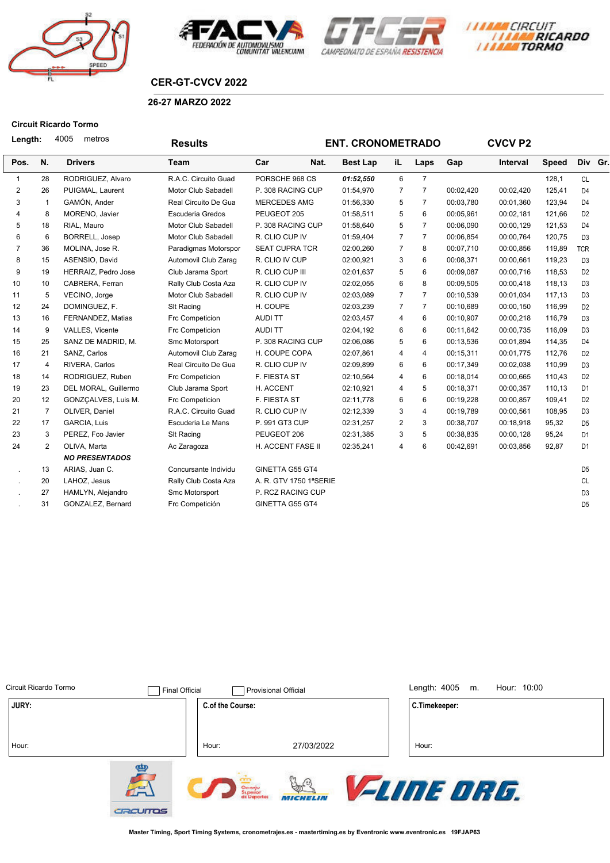







## **CER-GT-CVCV 2022**

### **26-27 MARZO 2022**

#### **Circuit Ricardo Tormo**

| Length:        |                | 4005<br>metros        | <b>Results</b>       |                        | <b>ENT. CRONOMETRADO</b> |                |                |           | <b>CVCV P2</b> |              |                |  |
|----------------|----------------|-----------------------|----------------------|------------------------|--------------------------|----------------|----------------|-----------|----------------|--------------|----------------|--|
| Pos.           | N.             | <b>Drivers</b>        | <b>Team</b>          | Car<br>Nat.            | <b>Best Lap</b>          | iL             | Laps           | Gap       | Interval       | <b>Speed</b> | Div Gr.        |  |
| 1              | 28             | RODRIGUEZ, Alvaro     | R.A.C. Circuito Guad | PORSCHE 968 CS         | 01:52,550                | 6              | $\overline{7}$ |           |                | 128,1        | <b>CL</b>      |  |
| 2              | 26             | PUIGMAL, Laurent      | Motor Club Sabadell  | P. 308 RACING CUP      | 01:54,970                | $\overline{7}$ | $\overline{7}$ | 00:02,420 | 00:02,420      | 125,41       | D <sub>4</sub> |  |
| 3              | $\mathbf{1}$   | GAMÓN, Ander          | Real Circuito De Gua | <b>MERCEDES AMG</b>    | 01:56,330                | 5              | $\overline{7}$ | 00:03,780 | 00:01,360      | 123,94       | D <sub>4</sub> |  |
| 4              | 8              | MORENO, Javier        | Escuderia Gredos     | PEUGEOT 205            | 01:58,511                | 5              | 6              | 00:05,961 | 00:02,181      | 121,66       | D <sub>2</sub> |  |
| 5              | 18             | RIAL, Mauro           | Motor Club Sabadell  | P. 308 RACING CUP      | 01:58,640                | 5              | $\overline{7}$ | 00:06,090 | 00:00,129      | 121,53       | D <sub>4</sub> |  |
| 6              | 6              | BORRELL, Josep        | Motor Club Sabadell  | R. CLIO CUP IV         | 01:59,404                | $\overline{7}$ | $\overline{7}$ | 00:06,854 | 00:00,764      | 120,75       | D <sub>3</sub> |  |
| $\overline{7}$ | 36             | MOLINA, Jose R.       | Paradigmas Motorspor | <b>SEAT CUPRA TCR</b>  | 02:00,260                | 7              | 8              | 00:07,710 | 00:00,856      | 119,89       | <b>TCR</b>     |  |
| 8              | 15             | ASENSIO, David        | Automovil Club Zarag | R. CLIO IV CUP         | 02:00,921                | 3              | 6              | 00:08,371 | 00:00,661      | 119,23       | D <sub>3</sub> |  |
| 9              | 19             | HERRAIZ, Pedro Jose   | Club Jarama Sport    | R. CLIO CUP III        | 02:01,637                | 5              | 6              | 00:09,087 | 00:00,716      | 118,53       | D <sub>2</sub> |  |
| 10             | 10             | CABRERA, Ferran       | Rally Club Costa Aza | R. CLIO CUP IV         | 02:02,055                | 6              | 8              | 00:09,505 | 00:00,418      | 118,13       | D <sub>3</sub> |  |
| 11             | 5              | VECINO, Jorge         | Motor Club Sabadell  | R. CLIO CUP IV         | 02:03,089                | $\overline{7}$ | $\overline{7}$ | 00:10.539 | 00:01.034      | 117,13       | D <sub>3</sub> |  |
| 12             | 24             | DOMINGUEZ, F.         | SIt Racing           | H. COUPE               | 02:03,239                | $\overline{7}$ | $\overline{7}$ | 00:10,689 | 00:00,150      | 116,99       | D <sub>2</sub> |  |
| 13             | 16             | FERNANDEZ, Matias     | Frc Competicion      | <b>AUDITT</b>          | 02:03,457                | 4              | 6              | 00:10,907 | 00:00,218      | 116,79       | D <sub>3</sub> |  |
| 14             | 9              | VALLES, Vicente       | Frc Competicion      | <b>AUDITT</b>          | 02:04,192                | 6              | 6              | 00:11.642 | 00:00,735      | 116,09       | D <sub>3</sub> |  |
| 15             | 25             | SANZ DE MADRID, M.    | Smc Motorsport       | P. 308 RACING CUP      | 02:06,086                | 5              | 6              | 00:13,536 | 00:01,894      | 114,35       | D <sub>4</sub> |  |
| 16             | 21             | SANZ, Carlos          | Automovil Club Zarag | H. COUPE COPA          | 02:07,861                | $\overline{4}$ | 4              | 00:15,311 | 00:01,775      | 112,76       | D <sub>2</sub> |  |
| 17             | $\overline{4}$ | RIVERA, Carlos        | Real Circuito De Gua | R. CLIO CUP IV         | 02:09,899                | 6              | 6              | 00:17,349 | 00:02,038      | 110,99       | D <sub>3</sub> |  |
| 18             | 14             | RODRIGUEZ, Ruben      | Frc Competicion      | F. FIESTA ST           | 02:10,564                | 4              | 6              | 00:18,014 | 00:00,665      | 110,43       | D <sub>2</sub> |  |
| 19             | 23             | DEL MORAL, Guillermo  | Club Jarama Sport    | H. ACCENT              | 02:10,921                | $\overline{4}$ | 5              | 00:18,371 | 00:00,357      | 110,13       | D <sub>1</sub> |  |
| 20             | 12             | GONZÇALVES, Luis M.   | Frc Competicion      | F. FIESTA ST           | 02:11,778                | 6              | 6              | 00:19,228 | 00:00,857      | 109,41       | D <sub>2</sub> |  |
| 21             | $\overline{7}$ | OLIVER, Daniel        | R.A.C. Circuito Guad | R. CLIO CUP IV         | 02:12,339                | 3              | 4              | 00:19,789 | 00:00,561      | 108,95       | D <sub>3</sub> |  |
| 22             | 17             | GARCIA, Luis          | Escuderia Le Mans    | P. 991 GT3 CUP         | 02:31,257                | 2              | 3              | 00:38,707 | 00:18,918      | 95,32        | D <sub>5</sub> |  |
| 23             | 3              | PEREZ, Fco Javier     | SIt Racing           | PEUGEOT 206            | 02:31,385                | 3              | 5              | 00:38,835 | 00:00,128      | 95,24        | D <sub>1</sub> |  |
| 24             | $\overline{2}$ | OLIVA, Marta          | Ac Zaragoza          | H. ACCENT FASE II      | 02:35,241                | $\overline{4}$ | 6              | 00:42,691 | 00:03,856      | 92,87        | D <sub>1</sub> |  |
|                |                | <b>NO PRESENTADOS</b> |                      |                        |                          |                |                |           |                |              |                |  |
| $\mathbf{r}$   | 13             | ARIAS, Juan C.        | Concursante Individu | GINETTA G55 GT4        |                          |                |                |           |                |              | D <sub>5</sub> |  |
|                | 20             | LAHOZ, Jesus          | Rally Club Costa Aza | A. R. GTV 1750 1ªSERIE |                          |                |                |           |                |              | CL             |  |
|                | 27             | HAMLYN, Alejandro     | Smc Motorsport       | P. RCZ RACING CUP      |                          |                |                |           |                |              | D <sub>3</sub> |  |
|                | 31             | GONZALEZ, Bernard     | Frc Competición      | GINETTA G55 GT4        |                          |                |                |           |                |              | D <sub>5</sub> |  |
|                |                |                       |                      |                        |                          |                |                |           |                |              |                |  |

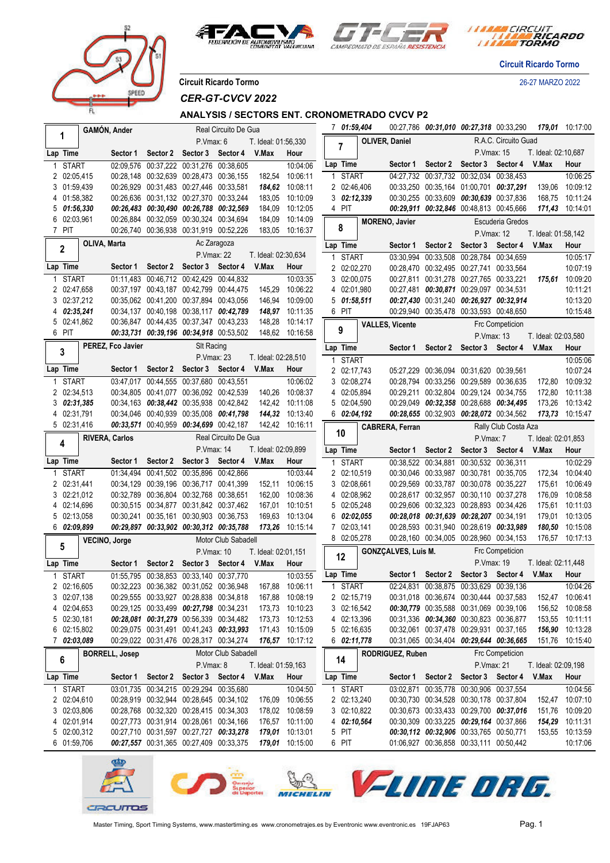



*I MARA CIRCUIT<br>I MARA RICARDO* 

**Circuit Ricardo Tormo**

**Circuit Ricardo Tormo** 26-27 MARZO 2022

*CER-GT-CVCV 2022*

PEED

**ANALYSIS / SECTORS ENT. CRONOMETRADO CVCV P2**

|        |                            | <b>GAMÓN, Ander</b>   |                       |                               |                                                                                    | Real Circuito De Gua |                     |                                    | 7 01:59,404                                 |           |                            | 00:27,786 00:31,010 00:27,318 00:33,290                                            |                   |                        |                              | 179,01 10:17:00                    |
|--------|----------------------------|-----------------------|-----------------------|-------------------------------|------------------------------------------------------------------------------------|----------------------|---------------------|------------------------------------|---------------------------------------------|-----------|----------------------------|------------------------------------------------------------------------------------|-------------------|------------------------|------------------------------|------------------------------------|
|        | 1                          |                       |                       |                               | P.Vmax: 6                                                                          |                      | T. Ideal: 01:56,330 |                                    |                                             |           | OLIVER, Daniel             |                                                                                    |                   | R.A.C. Circuito Guad   |                              |                                    |
|        | Lap Time                   |                       |                       | Sector 1 Sector 2             | Sector 3                                                                           | Sector 4             | V.Max               | Hour                               |                                             |           |                            |                                                                                    | P.Vmax: 15        |                        | T. Ideal: 02:10,687          |                                    |
|        | <b>START</b>               |                       |                       | 02:09,576 00:37,222 00:31,276 |                                                                                    | 00:38,605            |                     | 10:04:06                           | Lap Time                                    |           | Sector 1                   |                                                                                    | Sector 2 Sector 3 | Sector 4               | V.Max                        | Hour                               |
|        | 2 02:05,415                |                       |                       |                               | 00:28,148 00:32,639 00:28,473 00:36,155                                            |                      | 182,54              | 10:06:11                           | <b>START</b><br>1                           |           | $\overline{04:27}$ , 732   | 00:37,732 00:32,034 00:38,453                                                      |                   |                        |                              | 10:06:25                           |
|        | 3 01:59,439                |                       |                       |                               | 00:26,929 00:31,483 00:27,446 00:33,581                                            |                      | 184,62              | 10:08:11                           | 2 02:46,406                                 |           |                            | 00:33,250 00:35,164 01:00,701 00:37,291                                            |                   |                        | 139,06                       | 10:09:12                           |
|        | 4 01:58,382                |                       |                       |                               | 00:26,636 00:31,132 00:27,370 00:33,244                                            |                      | 183,05              | 10:10:09                           | $3\;\;02:12,339$                            |           |                            | 00:30,255 00:33,609 00:30,639 00:37,836                                            |                   |                        | 168,75                       | 10:11:24                           |
| 5<br>6 | 01:56,330<br>02:03,961     |                       |                       |                               | 00:26,483 00:30,490 00:26,788 00:32,569<br>00:26,884 00:32,059 00:30,324 00:34,694 |                      | 184,09<br>184,09    | 10:12:05<br>10:14:09               | 4 PIT                                       |           |                            | 00:29,911 00:32,846 00:48,813 00:45,666                                            |                   |                        | 171,43                       | 10:14:01                           |
|        | 7 PIT                      |                       |                       |                               | 00:26.740 00:36.938 00:31.919 00:52.226                                            |                      | 183,05              | 10:16:37                           | 8                                           |           | <b>MORENO, Javier</b>      |                                                                                    |                   | Escuderia Gredos       |                              |                                    |
|        |                            | OLIVA, Marta          |                       |                               |                                                                                    | Ac Zaragoza          |                     |                                    | Lap Time                                    |           |                            | Sector 2 Sector 3                                                                  | P.Vmax: 12        | Sector 4               | T. Ideal: 01:58,142<br>V.Max | Hour                               |
|        | 2                          |                       |                       |                               | P.Vmax: 22                                                                         |                      | T. Ideal: 02:30,634 |                                    | <b>START</b>                                |           | Sector 1                   | 03:30.994 00:33.508 00:28.784 00:34.659                                            |                   |                        |                              | 10:05:17                           |
|        | Lap Time                   |                       | Sector 1              | Sector 2                      | Sector 3                                                                           | Sector 4             | V.Max               | Hour                               | 2 02:02,270                                 |           |                            | 00:28,470 00:32,495 00:27,741 00:33,564                                            |                   |                        |                              | 10:07:19                           |
|        | <b>START</b>               |                       |                       |                               | 01:11,483 00:46,712 00:42,429 00:44,832                                            |                      |                     | 10:03:35                           | 3 02:00,075                                 |           |                            | 00:27,811 00:31,278 00:27,765 00:33,221                                            |                   |                        | 175,61                       | 10:09:20                           |
|        | 2 02:47,658                |                       |                       |                               | 00:37.197 00:43.187 00:42.799 00:44.475                                            |                      | 145,29              | 10:06:22                           | 4 02:01,980                                 |           |                            | 00:27,481 00:30,871 00:29,097 00:34,531                                            |                   |                        |                              | 10:11:21                           |
|        | 3 02:37,212                |                       |                       |                               | 00:35,062 00:41,200 00:37,894 00:43,056                                            |                      | 146,94              | 10:09:00                           | $5\;\;01:58,511$                            |           |                            | 00:27,430 00:31,240 00:26,927 00:32,914                                            |                   |                        |                              | 10:13:20                           |
|        | 4 02:35,241                |                       |                       |                               | 00:34,137 00:40,198 00:38,117 00:42,789                                            |                      |                     | 148,97 10:11:35                    | 6 PIT                                       |           |                            | 00:29,940 00:35,478 00:33,593 00:48,650                                            |                   |                        |                              | 10:15:48                           |
|        | 5 02:41,862<br>6 PIT       |                       |                       |                               | 00:36,847 00:44,435 00:37,347 00:43,233                                            |                      | 148,28              | 10:14:17                           | 9                                           |           | <b>VALLES, Vicente</b>     |                                                                                    |                   | Frc Competicion        |                              |                                    |
|        |                            |                       |                       |                               | 00:33,731 00:39,196 00:34,918 00:53,502                                            |                      |                     | 148,62 10:16:58                    |                                             |           |                            |                                                                                    | P.Vmax: 13        |                        | T. Ideal: 02:03,580          |                                    |
|        | $\mathbf{3}$               |                       | PEREZ, Fco Javier     |                               | <b>SIt Racing</b><br>P. Vmax: 23                                                   |                      | T. Ideal: 02:28,510 |                                    | Lap Time                                    |           |                            | Sector 1 Sector 2 Sector 3 Sector 4 V.Max                                          |                   |                        |                              | Hour                               |
|        | Lap Time                   |                       |                       |                               | Sector 1 Sector 2 Sector 3 Sector 4                                                |                      | V.Max               | Hour                               | <b>START</b><br>$\mathbf{1}$<br>2 02:17,743 |           |                            | 05:27,229 00:36,094 00:31,620 00:39,561                                            |                   |                        |                              | 10:05:06<br>10:07:24               |
|        | <b>START</b>               |                       |                       |                               | 03:47.017 00:44.555 00:37.680 00:43.551                                            |                      |                     | 10:06:02                           | 3 02:08,274                                 |           |                            | 00:28,794 00:33,256 00:29,589 00:36,635                                            |                   |                        | 172,80                       | 10:09:32                           |
|        | 2 02:34,513                |                       |                       |                               | 00:34.805 00:41.077 00:36.092 00:42.539                                            |                      | 140,26              | 10:08:37                           | 4 02:05,894                                 |           |                            | 00:29.211 00:32.804 00:29.124 00:34.755                                            |                   |                        | 172,80                       | 10:11:38                           |
|        | 3 02:31,385                |                       |                       |                               | 00:34,163 00:38,442 00:35,938 00:42,842                                            |                      | 142,42              | 10:11:08                           | 5 02:04,590                                 |           |                            | 00:29.049 00:32,358 00:28.688 00:34,495                                            |                   |                        | 173,26                       | 10:13:42                           |
| 4      | 02:31,791                  |                       |                       |                               | 00:34.046 00:40.939 00:35.008 00:41.798                                            |                      | 144,32              | 10:13:40                           | 6 <i>02:04</i> ,192                         |           |                            | 00:28,655 00:32,903 00:28,072 00:34,562                                            |                   |                        | 173,73                       | 10:15:47                           |
|        | 5 02:31,416                |                       |                       |                               | 00:33,571 00:40,959 00:34,699 00:42,187                                            |                      |                     | 142,42 10:16:11                    | 10                                          |           | <b>CABRERA, Ferran</b>     |                                                                                    |                   | Rally Club Costa Aza   |                              |                                    |
|        | 4                          | <b>RIVERA, Carlos</b> |                       |                               |                                                                                    | Real Circuito De Gua |                     |                                    |                                             |           |                            |                                                                                    | P.Vmax: 7         |                        | T. Ideal: 02:01,853          |                                    |
|        |                            |                       |                       |                               |                                                                                    |                      |                     |                                    |                                             |           |                            |                                                                                    |                   |                        |                              |                                    |
|        |                            |                       |                       |                               | P.Vmax: 14                                                                         |                      | T. Ideal: 02:09,899 |                                    | Lap Time                                    |           | Sector 1                   | Sector 2                                                                           | Sector 3          | Sector 4               | V.Max                        | Hour                               |
|        | Lap Time                   |                       | Sector 1              | Sector 2                      | Sector 3                                                                           | Sector 4             | V.Max               | Hour                               | <b>START</b><br>1                           |           |                            | 00:38,522 00:34,881 00:30,532 00:36,311                                            |                   |                        |                              | 10:02:29                           |
|        | 1 START                    |                       |                       |                               | 01:34,494 00:41,502 00:35,896 00:42,866                                            |                      |                     | 10:03:44                           | 2 02:10,519                                 |           |                            | 00:30.046 00:33.987 00:30.781 00:35.705                                            |                   |                        | 172,34                       | 10:04:40                           |
|        | 2 02:31,441                |                       |                       |                               | 00:34,129 00:39,196 00:36,717 00:41,399                                            |                      | 152,11              | 10:06:15                           | 3 02:08,661                                 |           |                            | 00:29,569 00:33,787 00:30,078 00:35,227                                            |                   |                        | 175,61                       | 10:06:49                           |
|        | 3 02:21,012<br>4 02:14,696 |                       |                       |                               | 00:32,789 00:36,804 00:32,768 00:38,651<br>00:30,515 00:34,877 00:31,842 00:37,462 |                      | 162,00<br>167,01    | 10:08:36<br>10:10:51               | 4 02:08,962<br>5 02:05,248                  |           |                            | 00:28,617 00:32,957 00:30,110 00:37,278<br>00:29,606 00:32,323 00:28,893 00:34,426 |                   |                        | 176,09<br>175,61             | 10:08:58<br>10:11:03               |
|        | 5 02:13,058                |                       |                       |                               | 00:30,241 00:35,161 00:30,903 00:36,753                                            |                      | 169,63              | 10:13:04                           | 6                                           | 02:02,055 |                            | 00:28,018 00:31,639 00:28,207 00:34,191                                            |                   |                        | 179,01                       | 10:13:05                           |
|        | 6 02:09,899                |                       |                       |                               | 00:29,897 00:33,902 00:30,312 00:35,788                                            |                      | 173,26              | 10:15:14                           | 7 02:03,141                                 |           |                            | 00:28,593 00:31,940 00:28,619 00:33,989                                            |                   |                        | 180,50                       | 10:15:08                           |
|        |                            | VECINO, Jorge         |                       |                               |                                                                                    | Motor Club Sabadell  |                     |                                    | 8 02:05,278                                 |           |                            | 00:28,160 00:34,005 00:28,960 00:34,153                                            |                   |                        | 176,57                       | 10:17:13                           |
|        | 5                          |                       |                       |                               | P.Vmax: 10                                                                         |                      | T. Ideal: 02:01,151 |                                    |                                             |           | <b>GONZCALVES, Luis M.</b> |                                                                                    |                   | <b>Frc Competicion</b> |                              |                                    |
|        | Lap Time                   |                       | Sector 1              | Sector 2                      | Sector 3 Sector 4                                                                  |                      | V.Max               | Hour                               | 12                                          |           |                            |                                                                                    | P.Vmax: 19        |                        | T. Ideal: 02:11,448          |                                    |
|        | <b>START</b>               |                       |                       |                               | 01:55,795 00:38,853 00:33,140 00:37,770                                            |                      |                     | 10:03:55                           | Lap Time                                    |           |                            | Sector 1 Sector 2                                                                  | Sector 3 Sector 4 |                        | V.Max                        | Hour                               |
|        | 2 02:16,605                |                       |                       |                               | 00:32,223 00:36,382 00:31,052 00:36,948                                            |                      |                     | 167,88 10:06:11                    | 1 START                                     |           |                            | 02:24,831 00:38,875 00:33,629 00:39,136                                            |                   |                        |                              | 10:04:26                           |
| 3      | 02:07,138                  |                       |                       |                               | 00:29,555 00:33,927 00:28,838 00:34,818                                            |                      | 167,88              | 10:08:19                           | 2 02:15,719                                 |           |                            | 00:31,018 00:36,674 00:30,444 00:37,583                                            |                   |                        |                              | 152,47 10:06:41                    |
| 4<br>5 | 02:04,653                  |                       |                       |                               | 00:29,125 00:33,499 00:27,798 00:34,231                                            |                      | 173,73              | 173,73 10:10:23                    | 3 02:16,542<br>4 02:13,396                  |           |                            | 00:30,779 00:35,588 00:31,069 00:39,106                                            |                   |                        |                              | 156,52 10:08:58<br>153,55 10:11:11 |
| 6      | 02:30,181<br>02:15,802     |                       |                       |                               | 00:28,081 00:31,279 00:56,339 00:34,482<br>00:29,075 00:31,491 00:41,243 00:33,993 |                      |                     | 10:12:53<br>171,43 10:15:09        | 5 02:16,635                                 |           |                            | 00:31,336 00:34,360 00:30,823 00:36,877<br>00:32.061 00:37.478 00:29.931 00:37.165 |                   |                        |                              | 156,90 10:13:28                    |
|        | 7 02:03,089                |                       |                       |                               | 00:29,022 00:31,476 00:28,317 00:34,274                                            |                      |                     | 176,57 10:17:12                    | 602:11,778                                  |           |                            | 00:31,065 00:34,404 00:29,644 00:36,665                                            |                   |                        | 151,76                       | 10:15:40                           |
|        |                            |                       | <b>BORRELL, Josep</b> |                               |                                                                                    | Motor Club Sabadell  |                     |                                    |                                             |           | RODRIGUEZ, Ruben           |                                                                                    |                   | <b>Frc Competicion</b> |                              |                                    |
|        | 6                          |                       |                       |                               | P.Vmax: 8                                                                          |                      | T. Ideal: 01:59,163 |                                    | 14                                          |           |                            |                                                                                    | P.Vmax: 21        |                        | T. Ideal: 02:09,198          |                                    |
|        | Lap Time                   |                       |                       |                               | Sector 1 Sector 2 Sector 3 Sector 4                                                |                      | V.Max               | Hour                               | Lap Time                                    |           |                            | Sector 1 Sector 2 Sector 3 Sector 4                                                |                   |                        | V.Max                        | Hour                               |
|        | 1 START                    |                       |                       |                               | 03:01.735 00:34.215 00:29.294 00:35.680                                            |                      |                     | 10:04:50                           | 1 START                                     |           |                            | 03:02,871 00:35,778 00:30,906 00:37,554                                            |                   |                        |                              | 10:04:56                           |
|        | 2 02:04,610                |                       |                       |                               | 00:28,919 00:32,944 00:28,645 00:34,102                                            |                      | 176,09              | 10:06:55                           | 2 02:13,240                                 |           |                            | 00:30,730 00:34,528 00:30,178 00:37,804                                            |                   |                        |                              | 152,47 10:07:10                    |
|        | 3 02:03,806                |                       |                       |                               | 00:28,768 00:32,320 00:28,415 00:34,303                                            |                      |                     | 178,02 10:08:59                    | 3 02:10,822                                 |           |                            | 00:30,673 00:33,433 00:29,700 00:37,016                                            |                   |                        | 151,76                       | 10:09:20                           |
|        | 4 02:01,914                |                       |                       |                               | 00:27,773 00:31,914 00:28,061 00:34,166                                            |                      |                     | 176,57 10:11:00                    | 4 02:10,564                                 |           |                            | 00:30,309 00:33,225 00:29,164 00:37,866                                            |                   |                        | 154,29                       | 10:11:31                           |
|        | 5 02:00,312<br>6 01:59,706 |                       |                       |                               | 00:27,710 00:31,597 00:27,727 00:33,278<br>00:27,557 00:31,365 00:27,409 00:33,375 |                      |                     | 179,01 10:13:01<br>179,01 10:15:00 | 5 PIT<br>6 PIT                              |           |                            | 00:30,112 00:32,906 00:33,765 00:50,771<br>01:06,927 00:36,858 00:33,111 00:50,442 |                   |                        |                              | 153,55 10:13:59<br>10:17:06        |

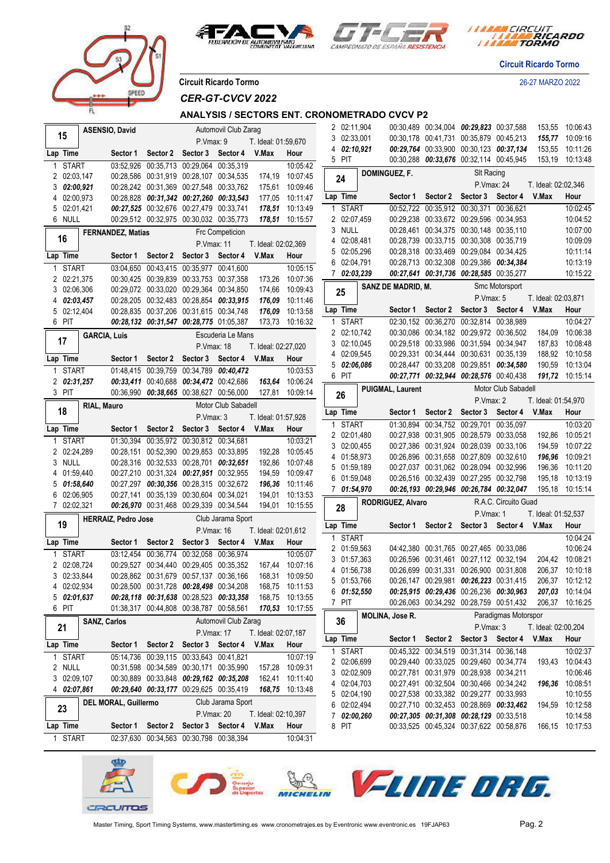



*I MARA CIRCUIT<br>I MARA RICARDO* 

**Circuit Ricardo Tormo**

**Circuit Ricardo Tormo** 26-27 MARZO 2022

prer

*CER-GT-CVCV 2022*

**ANALYSIS / SECTORS ENT. CRONOMETRADO CVCV P2**

|   | 15                          |                     | <b>ASENSIO, David</b>      |                                                                                    |                            | Automovil Club Zarag   |                              |                                    |              | 2 02:11,904                |                          | 00:30,489 00:34,004 00:29,823 00:37,588                                            |                      |                     | 153,55 10:06:43                    |
|---|-----------------------------|---------------------|----------------------------|------------------------------------------------------------------------------------|----------------------------|------------------------|------------------------------|------------------------------------|--------------|----------------------------|--------------------------|------------------------------------------------------------------------------------|----------------------|---------------------|------------------------------------|
|   |                             |                     |                            |                                                                                    | P.Vmax: 9                  |                        | T. Ideal: 01:59,670          |                                    |              | 3 02:33,001<br>4 02:10,921 |                          | 00:30,178 00:41,731 00:35,879 00:45,213<br>00:29,764 00:33,900 00:30,123 00:37,134 |                      | 153,55              | 155,77 10:09:16<br>10:11:26        |
|   | Lap Time                    |                     | Sector 1                   |                                                                                    | Sector 2 Sector 3 Sector 4 |                        | V.Max                        | Hour                               | 5 PIT        |                            |                          | 00:30,288 00:33,676 00:32,114 00:45,945                                            |                      | 153,19              | 10:13:48                           |
|   | <b>START</b>                |                     |                            | 03:52,926 00:35,713 00:29,064 00:35,319                                            |                            |                        |                              | 10:05:42                           |              |                            | DOMINGUEZ, F.            | <b>SIt Racing</b>                                                                  |                      |                     |                                    |
|   | 2 02:03,147                 |                     |                            | 00:28,586 00:31,919 00:28,107 00:34,535                                            |                            |                        | 174,19                       | 10:07:45                           | 24           |                            |                          | P.Vmax: 24                                                                         |                      | T. Ideal: 02:02,346 |                                    |
|   | 3 02:00,921                 |                     |                            | 00:28,242 00:31,369 00:27,548 00:33,762                                            |                            |                        | 175,61                       | 10:09:46                           | Lap Time     |                            | Sector 1                 | Sector 2 Sector 3 Sector 4 V.Max                                                   |                      |                     | Hour                               |
|   | 4 02:00,973                 |                     |                            | 00:28,828 00:31,342 00:27,260 00:33,543                                            |                            |                        | 177,05                       | 10:11:47                           |              | 1 START                    |                          |                                                                                    |                      |                     | 10:02:45                           |
|   | 5 02:01,421<br>6 NULL       |                     |                            | 00:27,525 00:32,676 00:27,479 00:33,741<br>00:29,512 00:32,975 00:30,032 00:35,773 |                            |                        |                              | 178,51 10:13:49<br>178,51 10:15:57 |              | 2 02:07,459                |                          | 00:52,722 00:35,912 00:30,371 00:36,621<br>00:29,238 00:33,672 00:29,596 00:34,953 |                      |                     | 10:04:52                           |
|   |                             |                     |                            |                                                                                    |                            | <b>Frc Competicion</b> |                              |                                    |              | 3 NULL                     |                          | 00:28,461 00:34,375 00:30,148 00:35,110                                            |                      |                     | 10:07:00                           |
|   | 16                          |                     | <b>FERNANDEZ, Matias</b>   |                                                                                    |                            |                        |                              |                                    |              | 4 02:08,481                |                          | 00:28,739 00:33,715 00:30,308 00:35,719                                            |                      |                     | 10:09:09                           |
|   | Lap Time                    |                     |                            | Sector 2                                                                           | P.Vmax: 11                 |                        | T. Ideal: 02:02,369<br>V.Max | Hour                               |              | 5 02:05,296                |                          | 00:28,318 00:33,469 00:29,084 00:34,425                                            |                      |                     | 10:11:14                           |
|   |                             |                     | Sector 1                   |                                                                                    | Sector 3 Sector 4          |                        |                              |                                    |              | 6 02:04,791                |                          | 00:28,713 00:32,308 00:29,386 00:34,384                                            |                      |                     | 10:13:19                           |
| 1 | <b>START</b><br>2 02:21,375 |                     |                            | 03:04,650 00:43,415 00:35,977 00:41,600<br>00:30,425 00:39,839 00:33,753 00:37,358 |                            |                        | 173,26                       | 10:05:15<br>10:07:36               |              | 7 02:03,239                |                          | 00:27,641 00:31,736 00:28,585 00:35,277                                            |                      |                     | 10:15:22                           |
|   | 3 02:06,306                 |                     |                            | 00:29,072 00:33,020 00:29,364 00:34,850                                            |                            |                        | 174,66                       | 10:09:43                           |              |                            | SANZ DE MADRID, M.       |                                                                                    | Smc Motorsport       |                     |                                    |
|   | 4 02:03,457                 |                     |                            | 00:28,205 00:32,483 00:28,854 00:33,915                                            |                            |                        | 176,09                       | 10:11:46                           | 25           |                            |                          | P.Vmax: 5                                                                          |                      | T. Ideal: 02:03,871 |                                    |
|   | 5 02:12,404                 |                     |                            | 00:28,835 00:37,206 00:31,615 00:34,748                                            |                            |                        | 176,09                       | 10:13:58                           | Lap Time     |                            |                          | Sector 1 Sector 2 Sector 3 Sector 4                                                |                      | V.Max               | Hour                               |
|   | 6 PIT                       |                     |                            | 00:28,132 00:31,547 00:28,775 01:05,387                                            |                            |                        | 173,73                       | 10:16:32                           | $\mathbf{1}$ | START                      |                          | 02:30,152 00:36,270 00:32,814 00:38,989                                            |                      |                     | 10:04:27                           |
|   |                             | <b>GARCIA, Luis</b> |                            |                                                                                    |                            | Escuderia Le Mans      |                              |                                    |              | 2 02:10,742                |                          | 00:30,086 00:34,182 00:29,972 00:36,502                                            |                      | 184,09              | 10:06:38                           |
|   | 17                          |                     |                            |                                                                                    | P.Vmax: 18                 |                        | T. Ideal: 02:27,020          |                                    |              | 3 02:10,045                |                          | 00:29,518 00:33,986 00:31,594 00:34,947                                            |                      | 187,83              | 10:08:48                           |
|   | Lap Time                    |                     | Sector 1                   | Sector 2                                                                           | Sector 3 Sector 4          |                        | V.Max                        | Hour                               |              | 4 02:09,545                |                          | 00:29,331 00:34,444 00:30,631 00:35,139                                            |                      | 188,92              | 10:10:58                           |
|   | 1 START                     |                     |                            | 01:48,415 00:39,759 00:34,789 00:40,472                                            |                            |                        |                              | 10:03:53                           |              | 5 02:06,086                |                          | 00:28,447 00:33,208 00:29,851 00:34,580                                            |                      | 190.59              | 10:13:04                           |
|   | 2 02:31,257                 |                     |                            | 00:33,411 00:40,688 00:34,472 00:42,686                                            |                            |                        | 163,64                       | 10:06:24                           | 6 PIT        |                            |                          | 00:27,771 00:32,944 00:28,576 00:40,438                                            |                      |                     | 191,72 10:15:14                    |
|   | 3 PIT                       |                     |                            | 00:36,990 00:38,665 00:38,627 00:56,000                                            |                            |                        |                              | 127,81 10:09:14                    | 26           |                            | <b>PUIGMAL, Laurent</b>  |                                                                                    | Motor Club Sabadell  |                     |                                    |
|   |                             | RIAL, Mauro         |                            |                                                                                    |                            | Motor Club Sabadell    |                              |                                    |              |                            |                          | P.Vmax: 2                                                                          |                      | T. Ideal: 01:54,970 |                                    |
|   | 18                          |                     |                            |                                                                                    | P.Vmax: 3                  |                        | T. Ideal: 01:57,928          |                                    | Lap Time     |                            | Sector 1                 | Sector 2 Sector 3 Sector 4                                                         |                      | V.Max               | Hour                               |
|   | Lap Time                    |                     | Sector 1                   | Sector 2                                                                           | Sector 3 Sector 4          |                        | V.Max                        | Hour                               |              | 1 START                    |                          | 01:30,894 00:34,752 00:29,701 00:35,097                                            |                      |                     | 10:03:20                           |
|   | 1 START                     |                     |                            | 01:30,394 00:35,972 00:30,812 00:34,681                                            |                            |                        |                              | 10:03:21                           |              | 2 02:01,480<br>3 02:00,455 |                          | 00:27,938 00:31,905 00:28,579 00:33,058<br>00:27,386 00:31,924 00:28,039 00:33,106 |                      | 192,86<br>194,59    | 10:05:21<br>10:07:22               |
|   | 2 02:24,289                 |                     |                            | 00:28,151 00:52,390 00:29,853 00:33,895                                            |                            |                        | 192,28                       | 10:05:45                           |              | 4 01:58,973                |                          | 00:26,896 00:31,658 00:27,809 00:32,610                                            |                      | 196,96              | 10:09:21                           |
|   | 3 NULL                      |                     |                            | 00:28,316 00:32,533 00:28,701 00:32,651                                            |                            |                        | 192,86                       | 10:07:48                           |              | 5 01:59,189                |                          | 00:27,037 00:31,062 00:28,094 00:32,996                                            |                      | 196,36              | 10:11:20                           |
|   | 4 01:59,440                 |                     |                            | 00:27,210 00:31,324 00:27,951 00:32,955                                            |                            |                        | 194,59                       | 10:09:47                           |              | 6 01:59,048                |                          | 00:26,516 00:32,439 00:27,295 00:32,798                                            |                      | 195,18              | 10:13:19                           |
|   | 01:58,640                   |                     |                            | 00:27,297 00:30,356 00:28,315 00:32,672                                            |                            |                        | 196,36                       | 10:11:46                           |              | 7 01:54,970                |                          | 00:26,193 00:29,946 00:26,784 00:32,047                                            |                      | 195,18              | 10:15:14                           |
| 6 | 02:06,905<br>7 02:02,321    |                     |                            | 00:27,141 00:35,139 00:30,604 00:34,021<br>00:26,970 00:31,468 00:29,339 00:34,544 |                            |                        | 194,01                       | 10:13:53<br>194,01 10:15:55        |              |                            | <b>RODRIGUEZ, Alvaro</b> |                                                                                    | R.A.C. Circuito Guad |                     |                                    |
|   |                             |                     | <b>HERRAIZ, Pedro Jose</b> |                                                                                    |                            | Club Jarama Sport      |                              |                                    | 28           |                            |                          | P.Vmax: 1                                                                          |                      | T. Ideal: 01:52,537 |                                    |
|   | 19                          |                     |                            |                                                                                    | P.Vmax: 16                 |                        | T. Ideal: 02:01,612          |                                    | Lap Time     |                            |                          | Sector 1 Sector 2 Sector 3 Sector 4 V.Max                                          |                      |                     | Hour                               |
|   | Lap Time                    |                     | Sector 1                   | Sector 2                                                                           | Sector 3                   | Sector 4               | V.Max                        | Hour                               |              | 1 START                    |                          |                                                                                    |                      |                     | 10:04:24                           |
|   | <b>START</b>                |                     |                            | 03:12.454 00:36.774                                                                | 00:32,058 00:36,974        |                        |                              | 10:05:07                           |              | 2 01:59,563                |                          | 04:42,380 00:31,765 00:27,465 00:33,086                                            |                      |                     | 10:06:24                           |
|   | 2 02:08,724                 |                     |                            | 00:29,527 00:34,440 00:29,405 00:35,352                                            |                            |                        | 167,44                       | 10:07:16                           |              | 3 01:57,363                |                          | 00:26,596 00:31,461 00:27,112 00:32,194                                            |                      |                     | 204,42 10:08:21                    |
|   | 3 02:33,844                 |                     |                            | 00:28,862 00:31,679 00:57,137 00:36,166                                            |                            |                        |                              | 168,31 10:09:50                    |              | 4 01:56,738                |                          | 00:26.699 00:31.331 00:26.900 00:31.808                                            |                      |                     | 206,37 10:10:18                    |
|   | 4 02:02,934                 |                     |                            | 00:28,500 00:31,728 00:28,498 00:34,208                                            |                            |                        |                              | 168,75 10:11:53                    |              | 5 01:53,766                |                          | 00:26,147 00:29,981 00:26,223 00:31,415                                            |                      |                     | 206,37 10:12:12                    |
|   | 502:01,637                  |                     |                            | 00:28,118 00:31,638 00:28,523 00:33,358                                            |                            |                        |                              | 168,75 10:13:55                    | 7 PIT        | 601:52,550                 |                          | 00:25,915 00:29,436 00:26,236 00:30,963<br>00:26,063 00:34,292 00:28,759 00:51,432 |                      |                     | 207,03 10:14:04<br>206,37 10:16:25 |
|   | 6 PIT                       |                     |                            | 01:38,317 00:44,808 00:38,787 00:58,561                                            |                            |                        |                              | 170,53 10:17:55                    |              |                            | <b>MOLINA, Jose R.</b>   |                                                                                    | Paradigmas Motorspor |                     |                                    |
|   | 21                          | <b>SANZ, Carlos</b> |                            |                                                                                    |                            | Automovil Club Zarag   |                              |                                    | 36           |                            |                          | P.Vmax: 3                                                                          |                      | T. Ideal: 02:00,204 |                                    |
|   |                             |                     |                            |                                                                                    | P.Vmax: 17                 |                        | T. Ideal: 02:07,187          |                                    | Lap Time     |                            |                          | Sector 1 Sector 2 Sector 3 Sector 4                                                |                      | V.Max               | Hour                               |
|   | Lap Time                    |                     | Sector 1                   | Sector 2                                                                           | Sector 3 Sector 4          |                        | V.Max                        | Hour                               |              | 1 START                    |                          | 00:45,322 00:34,519 00:31,314 00:36,148                                            |                      |                     | 10:02:37                           |
|   | 1 START                     |                     |                            | 05:14.736 00:39.115 00:33.643 00:41.821                                            |                            |                        |                              | 10:07:19                           |              | 2 02:06,699                |                          | 00:29,440 00:33,025 00:29,460 00:34,774                                            |                      |                     | 193,43 10:04:43                    |
|   | 2 NULL                      |                     |                            | 00:31,598 00:34,589 00:30,171 00:35,990                                            |                            |                        | 157,28                       | 10:09:31                           |              | 3 02:02,909                |                          | 00:27,781 00:31,979 00:28,938 00:34,211                                            |                      |                     | 10:06:46                           |
|   | 3 02:09,107<br>4 02:07,861  |                     |                            | 00:30,889 00:33,848 00:29,162 00:35,208<br>00:29,640 00:33,177 00:29,625 00:35,419 |                            |                        |                              | 162,41 10:11:40<br>168,75 10:13:48 |              | 4 02:04,703                |                          | 00:27,491 00:32,504 00:30,466 00:34,242                                            |                      |                     | 196,36 10:08:51                    |
|   |                             |                     |                            |                                                                                    |                            | Club Jarama Sport      |                              |                                    |              | 5 02:04,190                |                          | 00:27,538 00:33,382 00:29,277 00:33,993                                            |                      |                     | 10:10:55                           |
|   | 23                          |                     | DEL MORAL, Guillermo       |                                                                                    | P.Vmax: 20                 |                        | T. Ideal: 02:10,397          |                                    |              | 6 02:02,494                |                          | 00:27,710 00:32,453 00:28,869 00:33,462                                            |                      |                     | 194,59 10:12:58                    |
|   | Lap Time                    |                     |                            | Sector 1 Sector 2                                                                  | Sector 3 Sector 4          |                        | V.Max                        | Hour                               | 8 PIT        | 7 02:00,260                |                          | 00:27,305 00:31,308 00:28,129 00:33,518<br>00:33,525 00:45,324 00:37,622 00:58,876 |                      |                     | 10:14:58<br>166,15 10:17:53        |
|   | 1 START                     |                     |                            | 02:37,630 00:34,563 00:30,798 00:38,394                                            |                            |                        |                              | 10:04:31                           |              |                            |                          |                                                                                    |                      |                     |                                    |
|   |                             |                     |                            |                                                                                    |                            |                        |                              |                                    |              |                            |                          |                                                                                    |                      |                     |                                    |

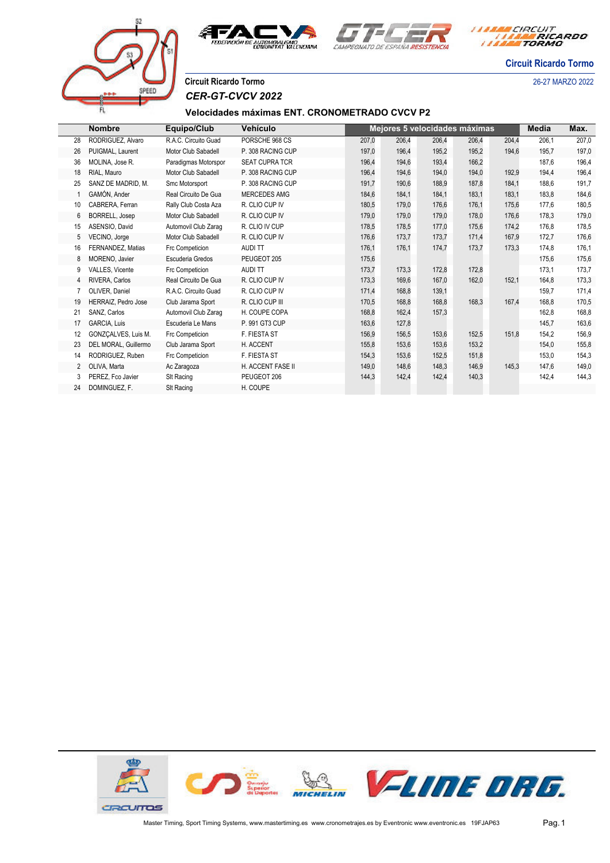



*I MARA CIRCUIT<br>I MARA RICARDO* 

**Circuit Ricardo Tormo**

# **Circuit Ricardo Tormo** 26-27 MARZO 2022 *CER-GT-CVCV 2022*

COFFI

### **Velocidades máximas ENT. CRONOMETRADO CVCV P2**

|                | <b>Nombre</b>              | Equipo/Club          | Vehículo              |       |       |       | Mejores 5 velocidades máximas |       | Media | Max.  |
|----------------|----------------------------|----------------------|-----------------------|-------|-------|-------|-------------------------------|-------|-------|-------|
| 28             | RODRIGUEZ, Alvaro          | R.A.C. Circuito Guad | PORSCHE 968 CS        | 207,0 | 206,4 | 206,4 | 206,4                         | 204,4 | 206,1 | 207,0 |
| 26             | PUIGMAL, Laurent           | Motor Club Sabadell  | P. 308 RACING CUP     | 197,0 | 196,4 | 195,2 | 195,2                         | 194,6 | 195,7 | 197,0 |
| 36             | MOLINA, Jose R.            | Paradigmas Motorspor | <b>SEAT CUPRA TCR</b> | 196,4 | 194,6 | 193,4 | 166,2                         |       | 187,6 | 196,4 |
| 18             | RIAL. Mauro                | Motor Club Sabadell  | P. 308 RACING CUP     | 196,4 | 194,6 | 194,0 | 194,0                         | 192,9 | 194,4 | 196,4 |
| 25             | SANZ DE MADRID, M.         | Smc Motorsport       | P. 308 RACING CUP     | 191,7 | 190,6 | 188,9 | 187,8                         | 184,1 | 188,6 | 191,7 |
|                | GAMÓN, Ander               | Real Circuito De Gua | <b>MERCEDES AMG</b>   | 184,6 | 184,1 | 184,1 | 183,1                         | 183,1 | 183,8 | 184,6 |
| 10             | CABRERA, Ferran            | Rally Club Costa Aza | R. CLIO CUP IV        | 180,5 | 179,0 | 176,6 | 176,1                         | 175,6 | 177,6 | 180,5 |
| 6              | BORRELL, Josep             | Motor Club Sabadell  | R. CLIO CUP IV        | 179,0 | 179,0 | 179,0 | 178,0                         | 176,6 | 178,3 | 179,0 |
| 15             | ASENSIO, David             | Automovil Club Zarag | R. CLIO IV CUP        | 178,5 | 178,5 | 177.0 | 175,6                         | 174,2 | 176,8 | 178,5 |
| 5              | VECINO, Jorge              | Motor Club Sabadell  | R. CLIO CUP IV        | 176,6 | 173,7 | 173,7 | 171,4                         | 167,9 | 172,7 | 176,6 |
| 16             | FERNANDEZ, Matias          | Frc Competicion      | <b>AUDI TT</b>        | 176,1 | 176,1 | 174,7 | 173,7                         | 173,3 | 174,8 | 176,1 |
| 8              | MORENO, Javier             | Escuderia Gredos     | PEUGEOT 205           | 175,6 |       |       |                               |       | 175,6 | 175,6 |
| 9              | <b>VALLES. Vicente</b>     | Frc Competicion      | <b>AUDITT</b>         | 173,7 | 173,3 | 172,8 | 172,8                         |       | 173,1 | 173,7 |
| 4              | RIVERA, Carlos             | Real Circuito De Gua | R. CLIO CUP IV        | 173,3 | 169,6 | 167,0 | 162,0                         | 152,1 | 164,8 | 173,3 |
| 7              | OLIVER, Daniel             | R.A.C. Circuito Guad | R. CLIO CUP IV        | 171,4 | 168,8 | 139,1 |                               |       | 159,7 | 171,4 |
| 19             | <b>HERRAIZ.</b> Pedro Jose | Club Jarama Sport    | R. CLIO CUP III       | 170,5 | 168,8 | 168,8 | 168,3                         | 167,4 | 168,8 | 170,5 |
| 21             | SANZ, Carlos               | Automovil Club Zaraq | H. COUPE COPA         | 168,8 | 162,4 | 157,3 |                               |       | 162,8 | 168,8 |
| 17             | <b>GARCIA. Luis</b>        | Escuderia Le Mans    | P. 991 GT3 CUP        | 163,6 | 127,8 |       |                               |       | 145,7 | 163,6 |
| 12             | GONZCALVES, Luis M.        | Frc Competicion      | F. FIESTA ST          | 156,9 | 156,5 | 153,6 | 152,5                         | 151,8 | 154,2 | 156,9 |
| 23             | DEL MORAL, Guillermo       | Club Jarama Sport    | H. ACCENT             | 155,8 | 153,6 | 153,6 | 153,2                         |       | 154,0 | 155,8 |
| 14             | RODRIGUEZ, Ruben           | Frc Competicion      | F. FIESTA ST          | 154,3 | 153,6 | 152,5 | 151,8                         |       | 153,0 | 154,3 |
| $\overline{2}$ | OLIVA, Marta               | Ac Zaragoza          | H. ACCENT FASE II     | 149,0 | 148,6 | 148,3 | 146,9                         | 145,3 | 147,6 | 149,0 |
| 3              | PEREZ, Fco Javier          | SIt Racing           | PEUGEOT 206           | 144,3 | 142,4 | 142,4 | 140,3                         |       | 142,4 | 144,3 |
| 24             | DOMINGUEZ, F.              | SIt Racing           | H. COUPE              |       |       |       |                               |       |       |       |